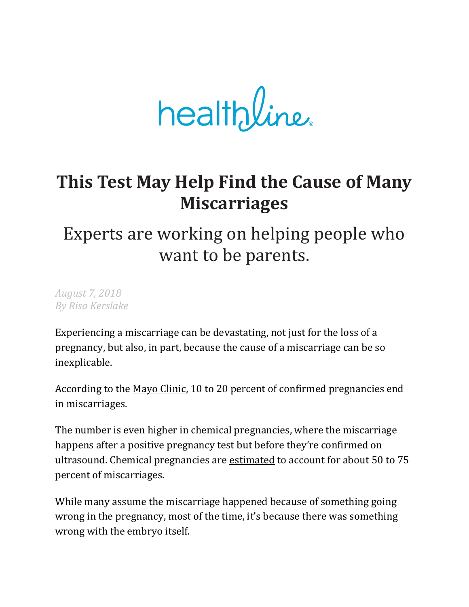$heathline.$ 

# **This Test May Help Find the Cause of Many Miscarriages**

# Experts are working on helping people who want to be parents.

*August 7, 2018 By Risa Kerslake*

Experiencing a miscarriage can be devastating, not just for the loss of a pregnancy, but also, in part, because the cause of a miscarriage can be so inexplicable.

According to the Mayo [Clinic,](https://www.mayoclinic.org/diseases-conditions/pregnancy-loss-miscarriage/symptoms-causes/syc-20354298) 10 to 20 percent of confirmed pregnancies end in miscarriages.

The number is even higher in chemical pregnancies, where the miscarriage happens after a positive pregnancy test but before they're confirmed on ultrasound. Chemical pregnancies are [estimated](https://www.healthline.com/health/pregnancy/chemical-pregnancy) to account for about 50 to 75 percent of miscarriages.

While many assume the miscarriage happened because of something going wrong in the pregnancy, most of the time, it's because there was something wrong with the embryo itself.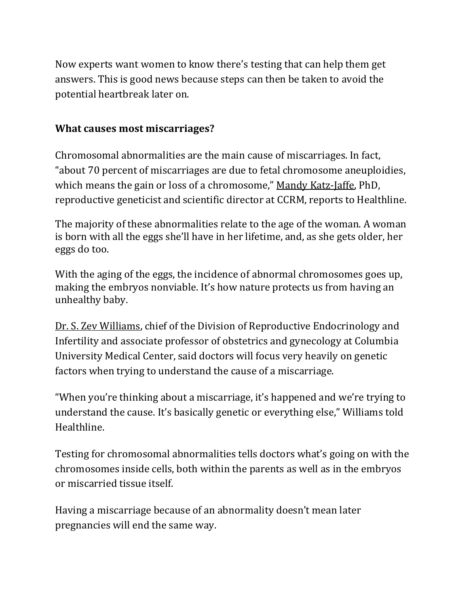Now experts want women to know there's testing that can help them get answers. This is good news because steps can then be taken to avoid the potential heartbreak later on.

#### **What causes most miscarriages?**

Chromosomal abnormalities are the main cause of miscarriages. In fact, "about 70 percent of miscarriages are due to fetal chromosome aneuploidies, which means the gain or loss of a chromosome," Mandy [Katz-Jaffe,](https://www.ccrmivf.com/for-physicians/mandy-katz-jaffe/) PhD, reproductive geneticist and scientific director at CCRM, reports to Healthline.

The majority of these abnormalities relate to the age of the woman. A woman is born with all the eggs she'll have in her lifetime, and, as she gets older, her eggs do too.

With the aging of the eggs, the incidence of abnormal chromosomes goes up, making the embryos nonviable. It's how nature protects us from having an unhealthy baby.

Dr. S. Zev [Williams,](https://www.columbiaobgyn.org/profile/s-zev-williams-md) chief of the Division of Reproductive Endocrinology and Infertility and associate professor of obstetrics and gynecology at Columbia University Medical Center, said doctors will focus very heavily on genetic factors when trying to understand the cause of a miscarriage.

"When you're thinking about a miscarriage, it's happened and we're trying to understand the cause. It's basically genetic or everything else," Williams told Healthline.

Testing for chromosomal abnormalities tells doctors what's going on with the chromosomes inside cells, both within the parents as well as in the embryos or miscarried tissue itself.

Having a miscarriage because of an abnormality doesn't mean later pregnancies will end the same way.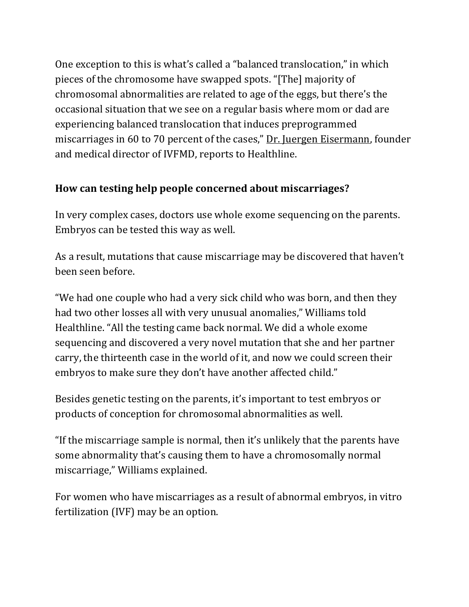One exception to this is what's called a "balanced translocation," in which pieces of the chromosome have swapped spots. "[The] majority of chromosomal abnormalities are related to age of the eggs, but there's the occasional situation that we see on a regular basis where mom or dad are experiencing balanced translocation that induces preprogrammed miscarriages in 60 to 70 percent of the cases," Dr. Juergen [Eisermann,](https://www.ivfmd.com/juergen-eisermann-md/) founder and medical director of IVFMD, reports to Healthline.

### **How can testing help people concerned about miscarriages?**

In very complex cases, doctors use whole exome sequencing on the parents. Embryos can be tested this way as well.

As a result, mutations that cause miscarriage may be discovered that haven't been seen before.

"We had one couple who had a very sick child who was born, and then they had two other losses all with very unusual anomalies," Williams told Healthline. "All the testing came back normal. We did a whole exome sequencing and discovered a very novel mutation that she and her partner carry, the thirteenth case in the world of it, and now we could screen their embryos to make sure they don't have another affected child."

Besides genetic testing on the parents, it's important to test embryos or products of conception for chromosomal abnormalities as well.

"If the miscarriage sample is normal, then it's unlikely that the parents have some abnormality that's causing them to have a chromosomally normal miscarriage," Williams explained.

For women who have miscarriages as a result of abnormal embryos, in vitro fertilization (IVF) may be an option.